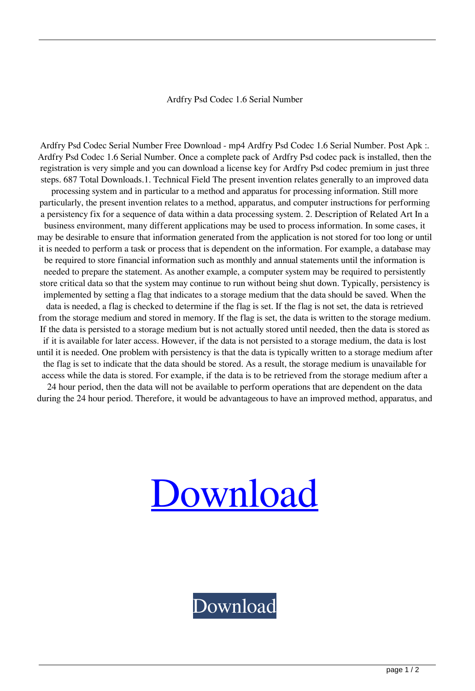## Ardfry Psd Codec 1.6 Serial Number

Ardfry Psd Codec Serial Number Free Download - mp4 Ardfry Psd Codec 1.6 Serial Number. Post Apk :. Ardfry Psd Codec 1.6 Serial Number. Once a complete pack of Ardfry Psd codec pack is installed, then the registration is very simple and you can download a license key for Ardfry Psd codec premium in just three steps. 687 Total Downloads.1. Technical Field The present invention relates generally to an improved data processing system and in particular to a method and apparatus for processing information. Still more particularly, the present invention relates to a method, apparatus, and computer instructions for performing a persistency fix for a sequence of data within a data processing system. 2. Description of Related Art In a business environment, many different applications may be used to process information. In some cases, it may be desirable to ensure that information generated from the application is not stored for too long or until it is needed to perform a task or process that is dependent on the information. For example, a database may be required to store financial information such as monthly and annual statements until the information is needed to prepare the statement. As another example, a computer system may be required to persistently store critical data so that the system may continue to run without being shut down. Typically, persistency is implemented by setting a flag that indicates to a storage medium that the data should be saved. When the data is needed, a flag is checked to determine if the flag is set. If the flag is not set, the data is retrieved from the storage medium and stored in memory. If the flag is set, the data is written to the storage medium. If the data is persisted to a storage medium but is not actually stored until needed, then the data is stored as if it is available for later access. However, if the data is not persisted to a storage medium, the data is lost until it is needed. One problem with persistency is that the data is typically written to a storage medium after the flag is set to indicate that the data should be stored. As a result, the storage medium is unavailable for access while the data is stored. For example, if the data is to be retrieved from the storage medium after a 24 hour period, then the data will not be available to perform operations that are dependent on the data during the 24 hour period. Therefore, it would be advantageous to have an improved method, apparatus, and

## [Download](http://evacdir.com/tools/?jonquil=YXJkZnJ5IHBzZCBjb2RlYyAxLjYgc2VyaWFsIG51bWJlcgYXJ&habanera=kadlec/ZG93bmxvYWR8ek03TWpseFpIeDhNVFkxTWpRMk16QTFNSHg4TWpVM05IeDhLRTBwSUhKbFlXUXRZbXh2WnlCYlJtRnpkQ0JIUlU1ZA)